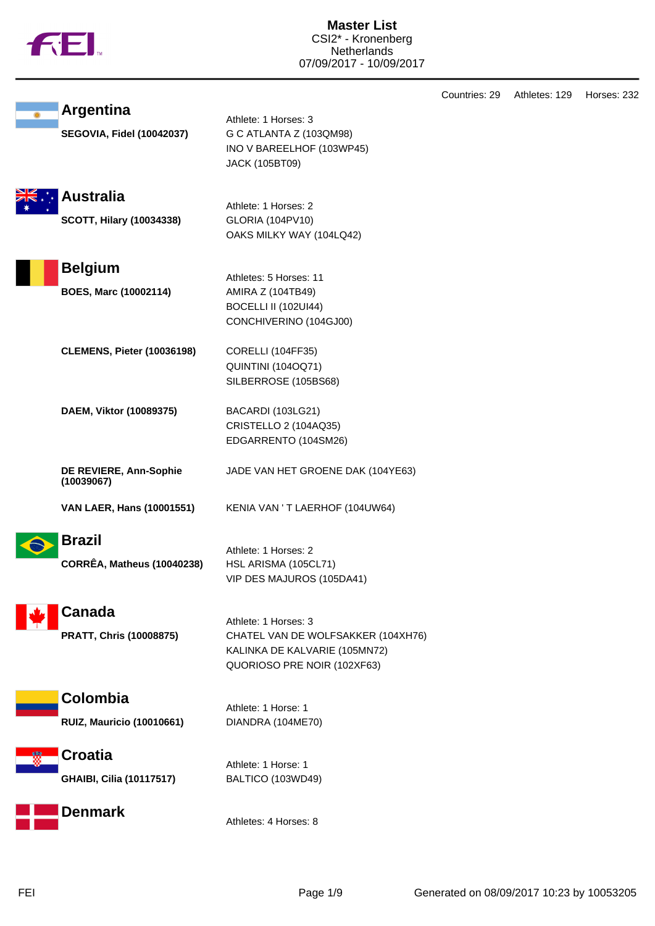|  | Ν |
|--|---|
|  |   |

|                                                      |                                                                                                                            | Countries: 29 | Athletes: 129 | Horses: 232 |
|------------------------------------------------------|----------------------------------------------------------------------------------------------------------------------------|---------------|---------------|-------------|
| <b>Argentina</b><br><b>SEGOVIA, Fidel (10042037)</b> | Athlete: 1 Horses: 3<br>G C ATLANTA Z (103QM98)<br>INO V BAREELHOF (103WP45)<br><b>JACK (105BT09)</b>                      |               |               |             |
| <b>Australia</b><br><b>SCOTT, Hilary (10034338)</b>  | Athlete: 1 Horses: 2<br><b>GLORIA (104PV10)</b><br>OAKS MILKY WAY (104LQ42)                                                |               |               |             |
| <b>Belgium</b><br>BOES, Marc (10002114)              | Athletes: 5 Horses: 11<br>AMIRA Z (104TB49)<br>BOCELLI II (102UI44)<br>CONCHIVERINO (104GJ00)                              |               |               |             |
| <b>CLEMENS, Pieter (10036198)</b>                    | CORELLI (104FF35)<br><b>QUINTINI (104OQ71)</b><br>SILBERROSE (105BS68)                                                     |               |               |             |
| DAEM, Viktor (10089375)                              | BACARDI (103LG21)<br>CRISTELLO 2 (104AQ35)<br>EDGARRENTO (104SM26)                                                         |               |               |             |
| DE REVIERE, Ann-Sophie<br>(10039067)                 | JADE VAN HET GROENE DAK (104YE63)                                                                                          |               |               |             |
| VAN LAER, Hans (10001551)                            | KENIA VAN 'T LAERHOF (104UW64)                                                                                             |               |               |             |
| <b>Brazil</b><br><b>CORRÊA, Matheus (10040238)</b>   | Athlete: 1 Horses: 2<br>HSL ARISMA (105CL71)<br>VIP DES MAJUROS (105DA41)                                                  |               |               |             |
| Canada<br><b>PRATT, Chris (10008875)</b>             | Athlete: 1 Horses: 3<br>CHATEL VAN DE WOLFSAKKER (104XH76)<br>KALINKA DE KALVARIE (105MN72)<br>QUORIOSO PRE NOIR (102XF63) |               |               |             |
| Colombia<br><b>RUIZ, Mauricio (10010661)</b>         | Athlete: 1 Horse: 1<br>DIANDRA (104ME70)                                                                                   |               |               |             |
| <b>Croatia</b><br><b>GHAIBI, Cilia (10117517)</b>    | Athlete: 1 Horse: 1<br>BALTICO (103WD49)                                                                                   |               |               |             |
| <b>Denmark</b>                                       | Athletes: 4 Horses: 8                                                                                                      |               |               |             |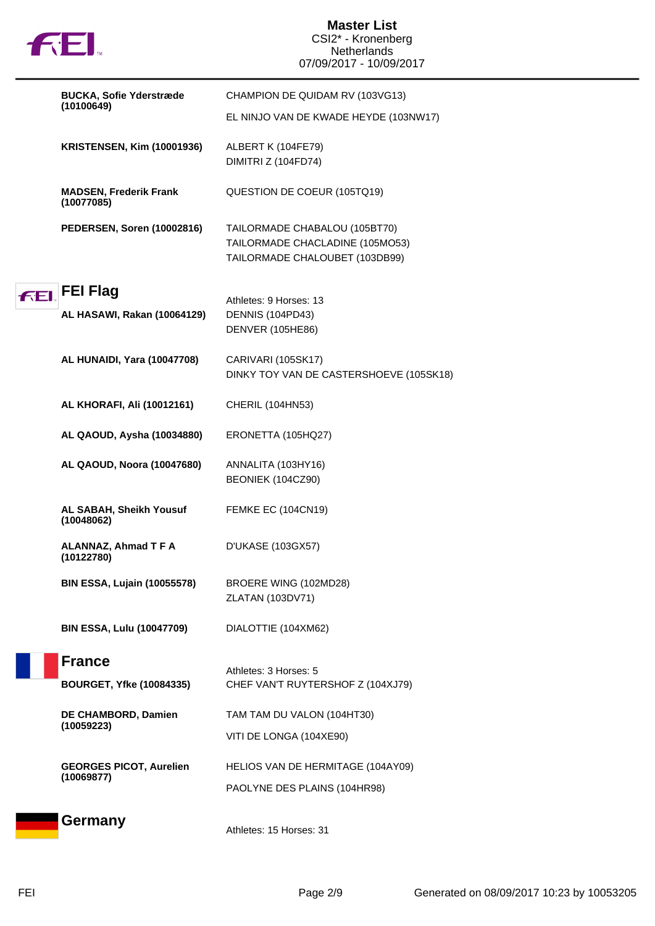|            | 七七                                               | <b>Master List</b><br>CSI2* - Kronenberg<br><b>Netherlands</b><br>07/09/2017 - 10/09/2017          |
|------------|--------------------------------------------------|----------------------------------------------------------------------------------------------------|
|            | <b>BUCKA, Sofie Yderstræde</b><br>(10100649)     | CHAMPION DE QUIDAM RV (103VG13)                                                                    |
|            |                                                  | EL NINJO VAN DE KWADE HEYDE (103NW17)                                                              |
|            | <b>KRISTENSEN, Kim (10001936)</b>                | ALBERT K (104FE79)<br>DIMITRI Z (104FD74)                                                          |
|            | <b>MADSEN, Frederik Frank</b><br>(10077085)      | QUESTION DE COEUR (105TQ19)                                                                        |
|            | PEDERSEN, Soren (10002816)                       | TAILORMADE CHABALOU (105BT70)<br>TAILORMADE CHACLADINE (105MO53)<br>TAILORMADE CHALOUBET (103DB99) |
| <b>FEI</b> | <b>FEI Flag</b>                                  | Athletes: 9 Horses: 13                                                                             |
|            | AL HASAWI, Rakan (10064129)                      | DENNIS (104PD43)<br><b>DENVER (105HE86)</b>                                                        |
|            | AL HUNAIDI, Yara (10047708)                      | CARIVARI (105SK17)<br>DINKY TOY VAN DE CASTERSHOEVE (105SK18)                                      |
|            | AL KHORAFI, Ali (10012161)                       | CHERIL (104HN53)                                                                                   |
|            | AL QAOUD, Aysha (10034880)                       | ERONETTA (105HQ27)                                                                                 |
|            | AL QAOUD, Noora (10047680)                       | ANNALITA (103HY16)<br>BEONIEK (104CZ90)                                                            |
|            | AL SABAH, Sheikh Yousuf<br>(10048062)            | <b>FEMKE EC (104CN19)</b>                                                                          |
|            | ALANNAZ, Ahmad T F A<br>(10122780)               | D'UKASE (103GX57)                                                                                  |
|            | <b>BIN ESSA, Lujain (10055578)</b>               | BROERE WING (102MD28)<br>ZLATAN (103DV71)                                                          |
|            | <b>BIN ESSA, Lulu (10047709)</b>                 | DIALOTTIE (104XM62)                                                                                |
|            | <b>France</b><br><b>BOURGET, Yfke (10084335)</b> | Athletes: 3 Horses: 5<br>CHEF VAN'T RUYTERSHOF Z (104XJ79)                                         |
|            | DE CHAMBORD, Damien                              | TAM TAM DU VALON (104HT30)                                                                         |
|            | (10059223)                                       | VITI DE LONGA (104XE90)                                                                            |
|            | <b>GEORGES PICOT, Aurelien</b><br>(10069877)     | HELIOS VAN DE HERMITAGE (104AY09)                                                                  |
|            |                                                  | PAOLYNE DES PLAINS (104HR98)                                                                       |
|            | Germany                                          | Athletes: 15 Horses: 31                                                                            |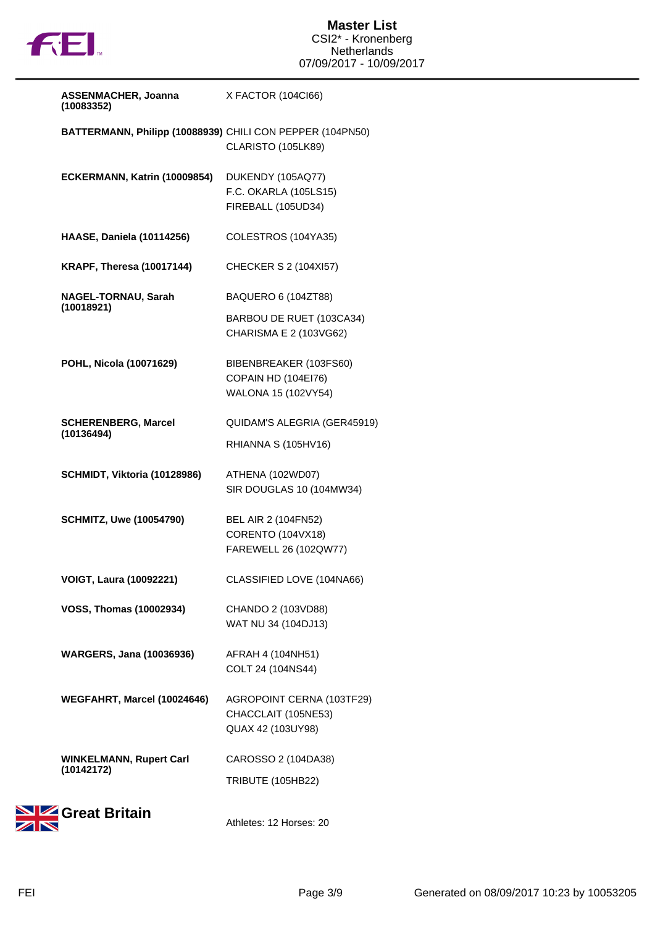

| <b>ASSENMACHER, Joanna</b><br>(10083352)                  | X FACTOR (104Cl66)                                                        |
|-----------------------------------------------------------|---------------------------------------------------------------------------|
| BATTERMANN, Philipp (10088939) CHILI CON PEPPER (104PN50) | CLARISTO (105LK89)                                                        |
| ECKERMANN, Katrin (10009854)                              | DUKENDY (105AQ77)<br>F.C. OKARLA (105LS15)<br>FIREBALL (105UD34)          |
| <b>HAASE, Daniela (10114256)</b>                          | COLESTROS (104YA35)                                                       |
| <b>KRAPF, Theresa (10017144)</b>                          | CHECKER S 2 (104XI57)                                                     |
| NAGEL-TORNAU, Sarah<br>(10018921)                         | BAQUERO 6 (104ZT88)<br>BARBOU DE RUET (103CA34)<br>CHARISMA E 2 (103VG62) |
| POHL, Nicola (10071629)                                   | BIBENBREAKER (103FS60)<br>COPAIN HD (104EI76)<br>WALONA 15 (102VY54)      |
| <b>SCHERENBERG, Marcel</b><br>(10136494)                  | QUIDAM'S ALEGRIA (GER45919)<br>RHIANNA S (105HV16)                        |
| SCHMIDT, Viktoria (10128986)                              | ATHENA (102WD07)<br>SIR DOUGLAS 10 (104MW34)                              |
| <b>SCHMITZ, Uwe (10054790)</b>                            | BEL AIR 2 (104FN52)<br><b>CORENTO (104VX18)</b><br>FAREWELL 26 (102QW77)  |
| <b>VOIGT, Laura (10092221)</b>                            | CLASSIFIED LOVE (104NA66)                                                 |
| <b>VOSS, Thomas (10002934)</b>                            | CHANDO 2 (103VD88)<br>WAT NU 34 (104DJ13)                                 |
| <b>WARGERS, Jana (10036936)</b>                           | AFRAH 4 (104NH51)<br>COLT 24 (104NS44)                                    |
| WEGFAHRT, Marcel (10024646)                               | AGROPOINT CERNA (103TF29)<br>CHACCLAIT (105NE53)<br>QUAX 42 (103UY98)     |
| <b>WINKELMANN, Rupert Carl</b><br>(10142172)              | CAROSSO 2 (104DA38)<br><b>TRIBUTE (105HB22)</b>                           |
|                                                           |                                                                           |



Athletes: 12 Horses: 20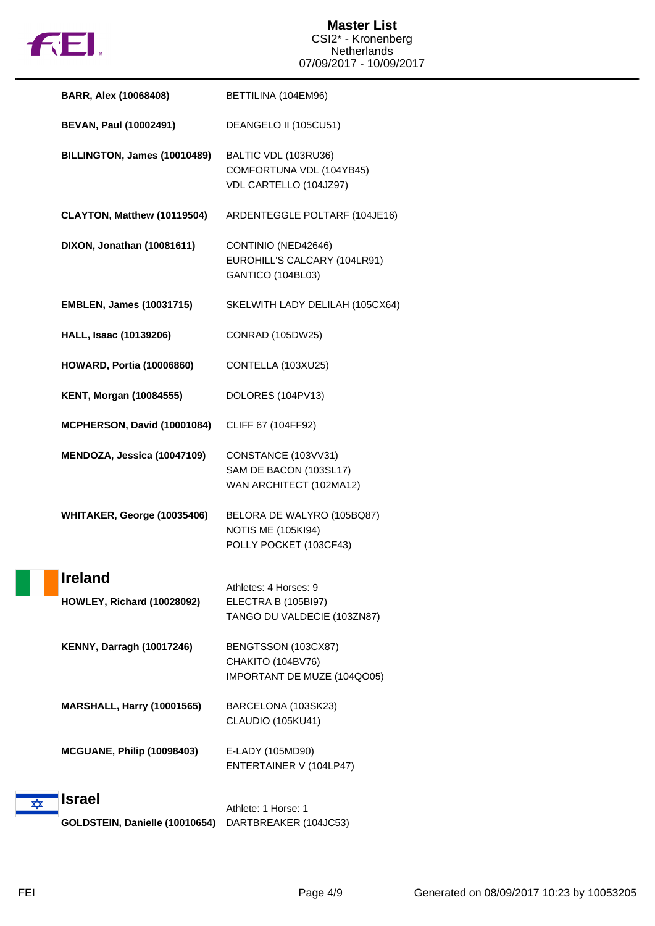

|   | <b>BARR, Alex (10068408)</b>      | BETTILINA (104EM96)                                                               |
|---|-----------------------------------|-----------------------------------------------------------------------------------|
|   | <b>BEVAN, Paul (10002491)</b>     | DEANGELO II (105CU51)                                                             |
|   | BILLINGTON, James (10010489)      | BALTIC VDL (103RU36)<br>COMFORTUNA VDL (104YB45)<br>VDL CARTELLO (104JZ97)        |
|   | CLAYTON, Matthew (10119504)       | ARDENTEGGLE POLTARF (104JE16)                                                     |
|   | DIXON, Jonathan (10081611)        | CONTINIO (NED42646)<br>EUROHILL'S CALCARY (104LR91)<br>GANTICO (104BL03)          |
|   | <b>EMBLEN, James (10031715)</b>   | SKELWITH LADY DELILAH (105CX64)                                                   |
|   | HALL, Isaac (10139206)            | CONRAD (105DW25)                                                                  |
|   | <b>HOWARD, Portia (10006860)</b>  | CONTELLA (103XU25)                                                                |
|   | <b>KENT, Morgan (10084555)</b>    | DOLORES (104PV13)                                                                 |
|   | MCPHERSON, David (10001084)       | CLIFF 67 (104FF92)                                                                |
|   | MENDOZA, Jessica (10047109)       | CONSTANCE (103VV31)<br>SAM DE BACON (103SL17)<br>WAN ARCHITECT (102MA12)          |
|   | WHITAKER, George (10035406)       | BELORA DE WALYRO (105BQ87)<br><b>NOTIS ME (105KI94)</b><br>POLLY POCKET (103CF43) |
|   | <b>Ireland</b>                    | Athletes: 4 Horses: 9                                                             |
|   | <b>HOWLEY, Richard (10028092)</b> | ELECTRA B (105BI97)<br>TANGO DU VALDECIE (103ZN87)                                |
|   | <b>KENNY, Darragh (10017246)</b>  | BENGTSSON (103CX87)<br>CHAKITO (104BV76)<br>IMPORTANT DE MUZE (104QO05)           |
|   | <b>MARSHALL, Harry (10001565)</b> | BARCELONA (103SK23)<br>CLAUDIO (105KU41)                                          |
|   | <b>MCGUANE, Philip (10098403)</b> | E-LADY (105MD90)<br>ENTERTAINER V (104LP47)                                       |
| ✿ | <b>Israel</b>                     | Athlete: 1 Horse: 1                                                               |
|   | GOLDSTEIN, Danielle (10010654)    | DARTBREAKER (104JC53)                                                             |

H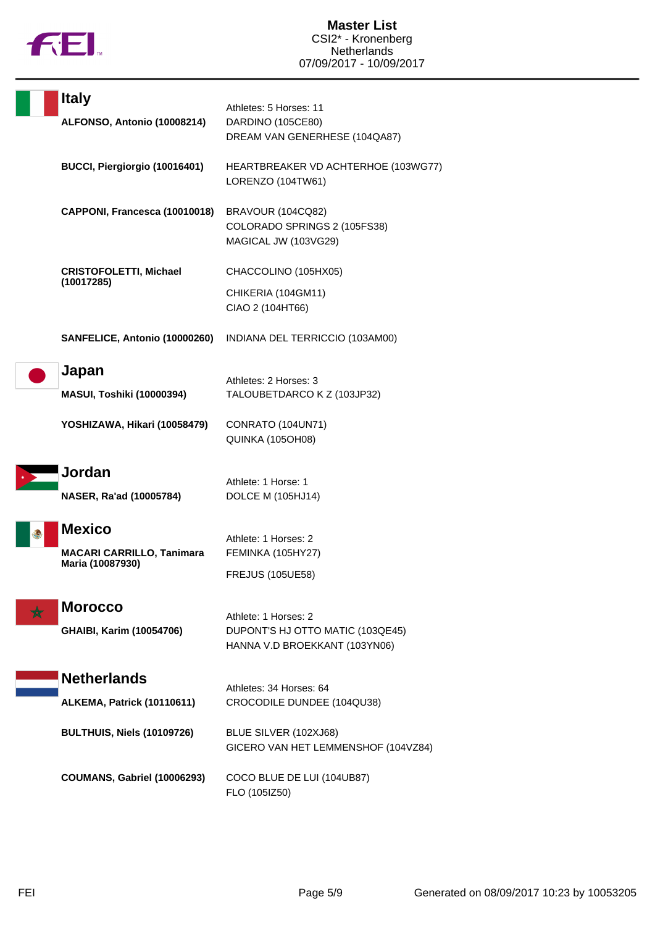

| <b>Italy</b><br>ALFONSO, Antonio (10008214)                           | Athletes: 5 Horses: 11<br>DARDINO (105CE80)<br>DREAM VAN GENERHESE (104QA87)              |
|-----------------------------------------------------------------------|-------------------------------------------------------------------------------------------|
| BUCCI, Piergiorgio (10016401)                                         | HEARTBREAKER VD ACHTERHOE (103WG77)<br>LORENZO (104TW61)                                  |
| CAPPONI, Francesca (10010018)                                         | BRAVOUR (104CQ82)<br>COLORADO SPRINGS 2 (105FS38)<br>MAGICAL JW (103VG29)                 |
| <b>CRISTOFOLETTI, Michael</b><br>(10017285)                           | CHACCOLINO (105HX05)<br>CHIKERIA (104GM11)<br>CIAO 2 (104HT66)                            |
| SANFELICE, Antonio (10000260)                                         | INDIANA DEL TERRICCIO (103AM00)                                                           |
| Japan<br><b>MASUI, Toshiki (10000394)</b>                             | Athletes: 2 Horses: 3<br>TALOUBETDARCO K Z (103JP32)                                      |
| YOSHIZAWA, Hikari (10058479)                                          | CONRATO (104UN71)<br>QUINKA (105OH08)                                                     |
| Jordan<br>NASER, Ra'ad (10005784)                                     | Athlete: 1 Horse: 1<br><b>DOLCE M (105HJ14)</b>                                           |
| <b>Mexico</b><br><b>MACARI CARRILLO, Tanimara</b><br>Maria (10087930) | Athlete: 1 Horses: 2<br>FEMINKA (105HY27)<br><b>FREJUS (105UE58)</b>                      |
| <b>Morocco</b><br><b>GHAIBI, Karim (10054706)</b>                     | Athlete: 1 Horses: 2<br>DUPONT'S HJ OTTO MATIC (103QE45)<br>HANNA V.D BROEKKANT (103YN06) |
| <b>Netherlands</b><br>ALKEMA, Patrick (10110611)                      | Athletes: 34 Horses: 64<br>CROCODILE DUNDEE (104QU38)                                     |
| <b>BULTHUIS, Niels (10109726)</b>                                     | BLUE SILVER (102XJ68)<br>GICERO VAN HET LEMMENSHOF (104VZ84)                              |
| <b>COUMANS, Gabriel (10006293)</b>                                    | COCO BLUE DE LUI (104UB87)<br>FLO (105IZ50)                                               |

þ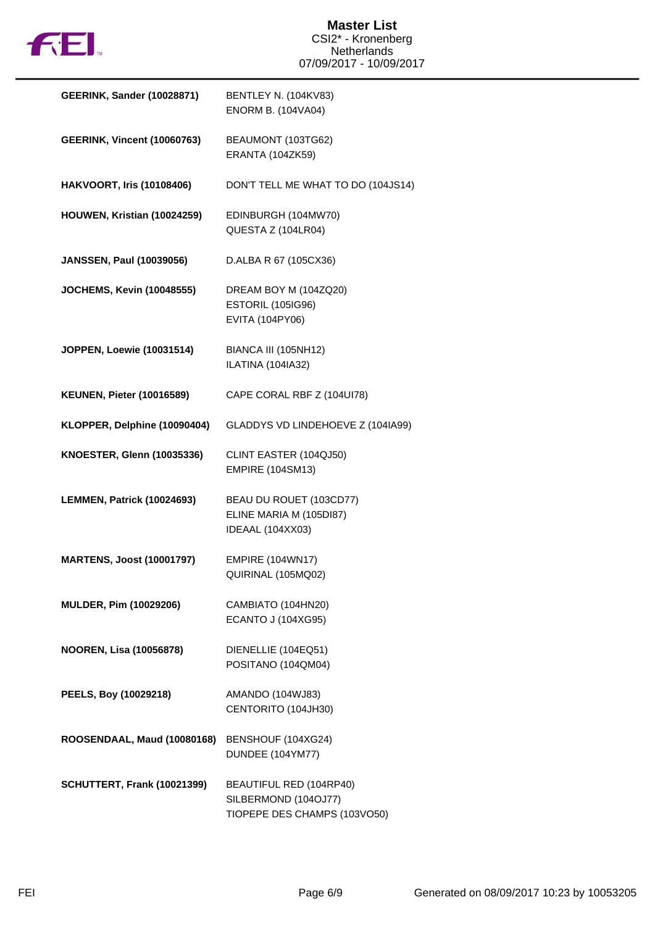

| <b>GEERINK, Sander (10028871)</b>  | <b>BENTLEY N. (104KV83)</b><br><b>ENORM B. (104VA04)</b>                        |
|------------------------------------|---------------------------------------------------------------------------------|
| <b>GEERINK, Vincent (10060763)</b> | BEAUMONT (103TG62)<br><b>ERANTA (104ZK59)</b>                                   |
| <b>HAKVOORT, Iris (10108406)</b>   | DON'T TELL ME WHAT TO DO (104JS14)                                              |
| HOUWEN, Kristian (10024259)        | EDINBURGH (104MW70)<br>QUESTA Z (104LR04)                                       |
| <b>JANSSEN, Paul (10039056)</b>    | D.ALBA R 67 (105CX36)                                                           |
| <b>JOCHEMS, Kevin (10048555)</b>   | DREAM BOY M (104ZQ20)<br><b>ESTORIL (105IG96)</b><br>EVITA (104PY06)            |
| JOPPEN, Loewie (10031514)          | BIANCA III (105NH12)<br>ILATINA (104IA32)                                       |
| <b>KEUNEN, Pieter (10016589)</b>   | CAPE CORAL RBF Z (104UI78)                                                      |
| KLOPPER, Delphine (10090404)       | GLADDYS VD LINDEHOEVE Z (104IA99)                                               |
| <b>KNOESTER, Glenn (10035336)</b>  | CLINT EASTER (104QJ50)<br><b>EMPIRE (104SM13)</b>                               |
| LEMMEN, Patrick (10024693)         | BEAU DU ROUET (103CD77)<br>ELINE MARIA M (105DI87)<br>IDEAAL (104XX03)          |
| <b>MARTENS, Joost (10001797)</b>   | <b>EMPIRE (104WN17)</b><br>QUIRINAL (105MQ02)                                   |
| MULDER, Pim (10029206)             | CAMBIATO (104HN20)<br><b>ECANTO J (104XG95)</b>                                 |
| <b>NOOREN, Lisa (10056878)</b>     | DIENELLIE (104EQ51)<br>POSITANO (104QM04)                                       |
| PEELS, Boy (10029218)              | AMANDO (104WJ83)<br>CENTORITO (104JH30)                                         |
| ROOSENDAAL, Maud (10080168)        | BENSHOUF (104XG24)<br>DUNDEE (104YM77)                                          |
| <b>SCHUTTERT, Frank (10021399)</b> | BEAUTIFUL RED (104RP40)<br>SILBERMOND (104OJ77)<br>TIOPEPE DES CHAMPS (103VO50) |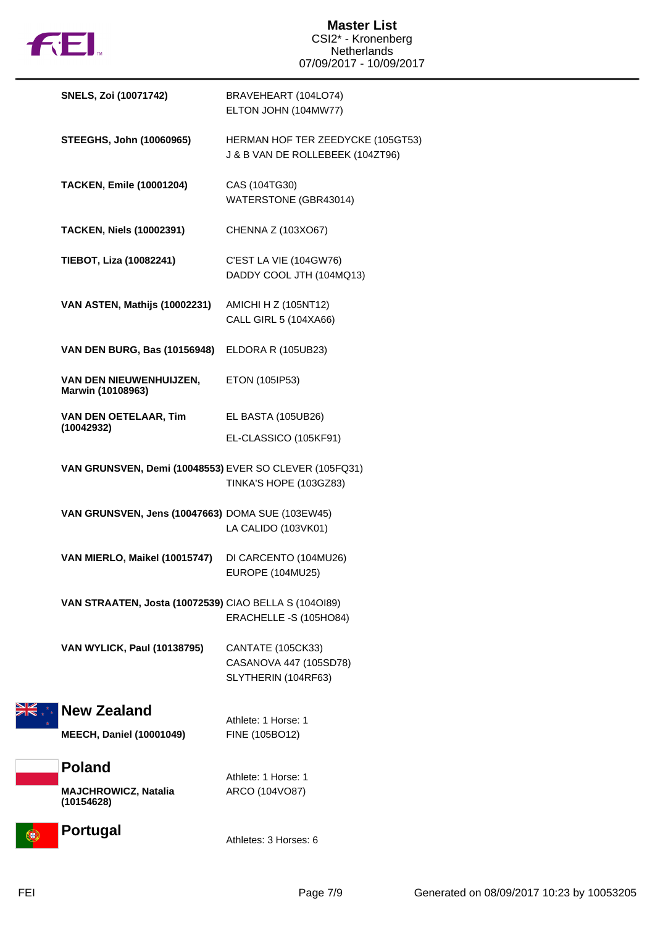

|   | <b>SNELS, Zoi (10071742)</b>                           | BRAVEHEART (104LO74)<br>ELTON JOHN (104MW77)                          |
|---|--------------------------------------------------------|-----------------------------------------------------------------------|
|   | <b>STEEGHS, John (10060965)</b>                        | HERMAN HOF TER ZEEDYCKE (105GT53)<br>J & B VAN DE ROLLEBEEK (104ZT96) |
|   | <b>TACKEN, Emile (10001204)</b>                        | CAS (104TG30)<br>WATERSTONE (GBR43014)                                |
|   | <b>TACKEN, Niels (10002391)</b>                        | CHENNA Z (103XO67)                                                    |
|   | TIEBOT, Liza (10082241)                                | C'EST LA VIE (104GW76)<br>DADDY COOL JTH (104MQ13)                    |
|   | VAN ASTEN, Mathijs (10002231)                          | AMICHI H Z (105NT12)<br>CALL GIRL 5 (104XA66)                         |
|   | VAN DEN BURG, Bas (10156948)                           | ELDORA R (105UB23)                                                    |
|   | VAN DEN NIEUWENHUIJZEN,<br>Marwin (10108963)           | ETON (105IP53)                                                        |
|   | VAN DEN OETELAAR, Tim<br>(10042932)                    | EL BASTA (105UB26)                                                    |
|   |                                                        | EL-CLASSICO (105KF91)                                                 |
|   | VAN GRUNSVEN, Demi (10048553) EVER SO CLEVER (105FQ31) | <b>TINKA'S HOPE (103GZ83)</b>                                         |
|   | VAN GRUNSVEN, Jens (10047663) DOMA SUE (103EW45)       | LA CALIDO (103VK01)                                                   |
|   | VAN MIERLO, Maikel (10015747)                          | DI CARCENTO (104MU26)<br>EUROPE (104MU25)                             |
|   | VAN STRAATEN, Josta (10072539) CIAO BELLA S (1040189)  | ERACHELLE -S (105HO84)                                                |
|   | <b>VAN WYLICK, Paul (10138795)</b>                     | CANTATE (105CK33)                                                     |
|   |                                                        | CASANOVA 447 (105SD78)<br>SLYTHERIN (104RF63)                         |
|   | <b>New Zealand</b>                                     | Athlete: 1 Horse: 1                                                   |
|   | <b>MEECH, Daniel (10001049)</b>                        | FINE (105BO12)                                                        |
|   | <b>Poland</b>                                          |                                                                       |
|   | <b>MAJCHROWICZ, Natalia</b><br>(10154628)              | Athlete: 1 Horse: 1<br>ARCO (104VO87)                                 |
| σ | <b>Portugal</b>                                        | Athletes: 3 Horses: 6                                                 |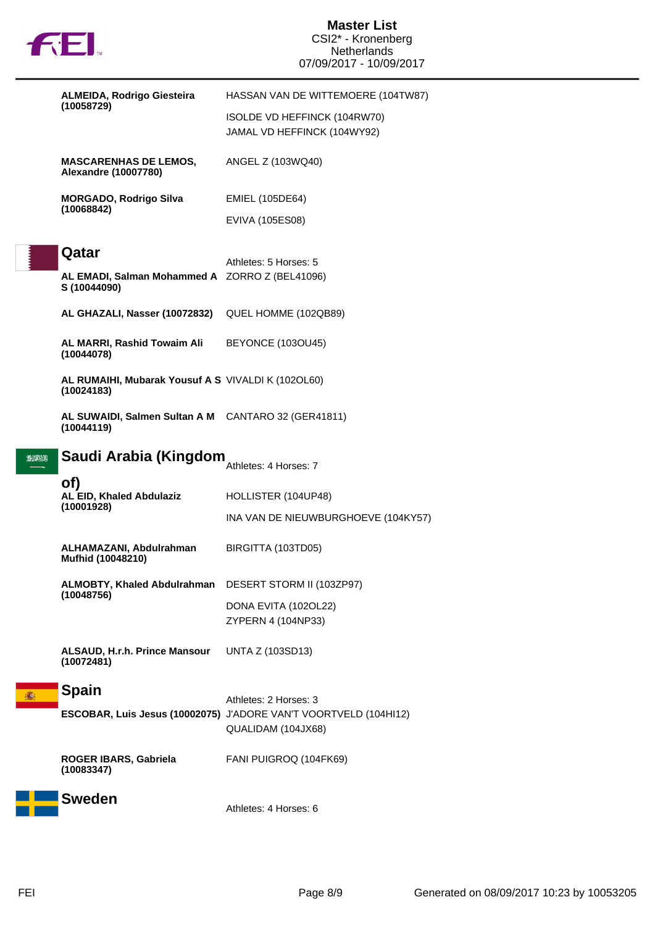

## **Master List** CSI2\* - Kronenberg Netherlands 07/09/2017 - 10/09/2017

|                | <b>ALMEIDA, Rodrigo Giesteira</b>                                   | HASSAN VAN DE WITTEMOERE (104TW87)                                                     |
|----------------|---------------------------------------------------------------------|----------------------------------------------------------------------------------------|
|                | (10058729)                                                          | ISOLDE VD HEFFINCK (104RW70)<br>JAMAL VD HEFFINCK (104WY92)                            |
|                | <b>MASCARENHAS DE LEMOS,</b><br><b>Alexandre (10007780)</b>         | ANGEL Z (103WQ40)                                                                      |
|                | <b>MORGADO, Rodrigo Silva</b><br>(10068842)                         | EMIEL (105DE64)                                                                        |
|                |                                                                     | EVIVA (105ES08)                                                                        |
|                | Qatar                                                               | Athletes: 5 Horses: 5                                                                  |
|                | AL EMADI, Salman Mohammed A ZORRO Z (BEL41096)<br>S (10044090)      |                                                                                        |
|                | AL GHAZALI, Nasser (10072832)                                       | QUEL HOMME (102QB89)                                                                   |
|                | AL MARRI, Rashid Towaim Ali<br>(10044078)                           | <b>BEYONCE (103OU45)</b>                                                               |
|                | AL RUMAIHI, Mubarak Yousuf A S VIVALDI K (1020L60)<br>(10024183)    |                                                                                        |
|                | AL SUWAIDI, Salmen Sultan A M CANTARO 32 (GER41811)<br>(10044119)   |                                                                                        |
| <u> 220 UN</u> | Saudi Arabia (Kingdom                                               | Athletes: 4 Horses: 7                                                                  |
|                | of)<br>AL EID, Khaled Abdulaziz                                     | HOLLISTER (104UP48)                                                                    |
|                | (10001928)                                                          | INA VAN DE NIEUWBURGHOEVE (104KY57)                                                    |
|                | ALHAMAZANI, Abdulrahman<br>Mufhid (10048210)                        | BIRGITTA (103TD05)                                                                     |
|                | ALMOBTY, Khaled Abdulrahman DESERT STORM II (103ZP97)<br>(10048756) |                                                                                        |
|                |                                                                     | DONA EVITA (102OL22)<br>ZYPERN 4 (104NP33)                                             |
|                | ALSAUD, H.r.h. Prince Mansour<br>(10072481)                         | <b>UNTA Z (103SD13)</b>                                                                |
| 痛              | <b>Spain</b>                                                        | Athletes: 2 Horses: 3                                                                  |
|                |                                                                     | ESCOBAR, Luis Jesus (10002075) J'ADORE VAN'T VOORTVELD (104HI12)<br>QUALIDAM (104JX68) |
|                | ROGER IBARS, Gabriela<br>(10083347)                                 | FANI PUIGROQ (104FK69)                                                                 |
|                | <b>Sweden</b>                                                       | Athletes: 4 Horses: 6                                                                  |
|                |                                                                     |                                                                                        |